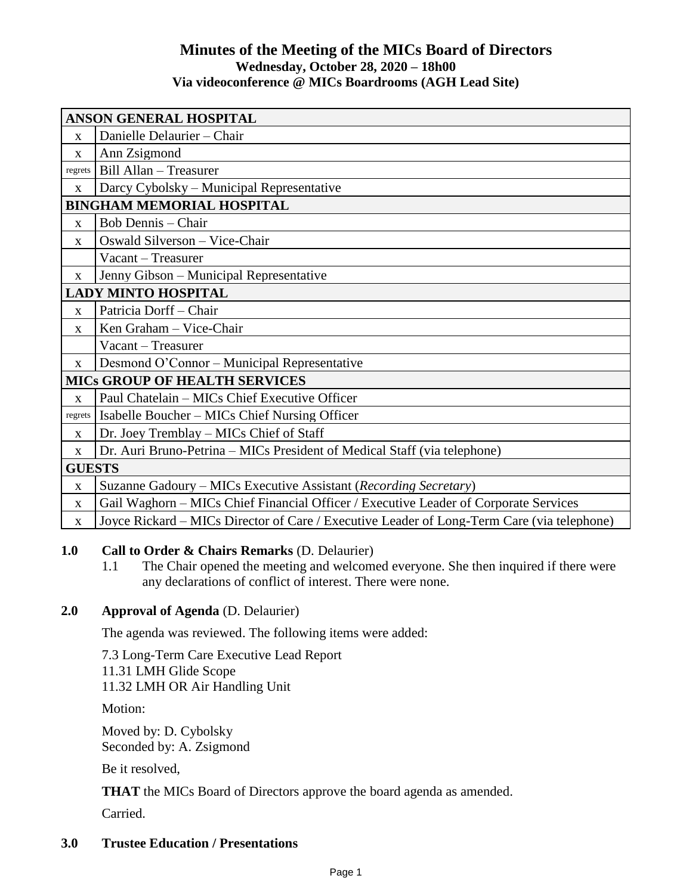# **Minutes of the Meeting of the MICs Board of Directors Wednesday, October 28, 2020 – 18h00 Via videoconference @ MICs Boardrooms (AGH Lead Site)**

| <b>ANSON GENERAL HOSPITAL</b>        |                                                                                            |
|--------------------------------------|--------------------------------------------------------------------------------------------|
| $\mathbf{x}$                         | Danielle Delaurier - Chair                                                                 |
| X                                    | Ann Zsigmond                                                                               |
| regrets                              | Bill Allan - Treasurer                                                                     |
| $\mathbf X$                          | Darcy Cybolsky – Municipal Representative                                                  |
| <b>BINGHAM MEMORIAL HOSPITAL</b>     |                                                                                            |
| X                                    | <b>Bob Dennis</b> – Chair                                                                  |
| $\mathbf{X}$                         | Oswald Silverson - Vice-Chair                                                              |
|                                      | Vacant – Treasurer                                                                         |
| X                                    | Jenny Gibson – Municipal Representative                                                    |
| <b>LADY MINTO HOSPITAL</b>           |                                                                                            |
| $\mathbf{X}$                         | Patricia Dorff - Chair                                                                     |
| $\mathbf{x}$                         | Ken Graham - Vice-Chair                                                                    |
|                                      | Vacant - Treasurer                                                                         |
| $\mathbf{X}$                         | Desmond O'Connor – Municipal Representative                                                |
| <b>MICS GROUP OF HEALTH SERVICES</b> |                                                                                            |
| $\mathbf X$                          | Paul Chatelain - MICs Chief Executive Officer                                              |
| regrets                              | Isabelle Boucher – MICs Chief Nursing Officer                                              |
| X                                    | Dr. Joey Tremblay – MICs Chief of Staff                                                    |
| $\mathbf{X}$                         | Dr. Auri Bruno-Petrina – MICs President of Medical Staff (via telephone)                   |
| <b>GUESTS</b>                        |                                                                                            |
| X                                    | Suzanne Gadoury – MICs Executive Assistant (Recording Secretary)                           |
| $\mathbf{X}$                         | Gail Waghorn – MICs Chief Financial Officer / Executive Leader of Corporate Services       |
| $\mathbf{X}$                         | Joyce Rickard – MICs Director of Care / Executive Leader of Long-Term Care (via telephone) |

#### **1.0 Call to Order & Chairs Remarks** (D. Delaurier)

1.1 The Chair opened the meeting and welcomed everyone. She then inquired if there were any declarations of conflict of interest. There were none.

## **2.0 Approval of Agenda** (D. Delaurier)

The agenda was reviewed. The following items were added:

7.3 Long-Term Care Executive Lead Report

11.31 LMH Glide Scope 11.32 LMH OR Air Handling Unit

Motion:

Moved by: D. Cybolsky Seconded by: A. Zsigmond

Be it resolved,

**THAT** the MICs Board of Directors approve the board agenda as amended.

Carried.

#### **3.0 Trustee Education / Presentations**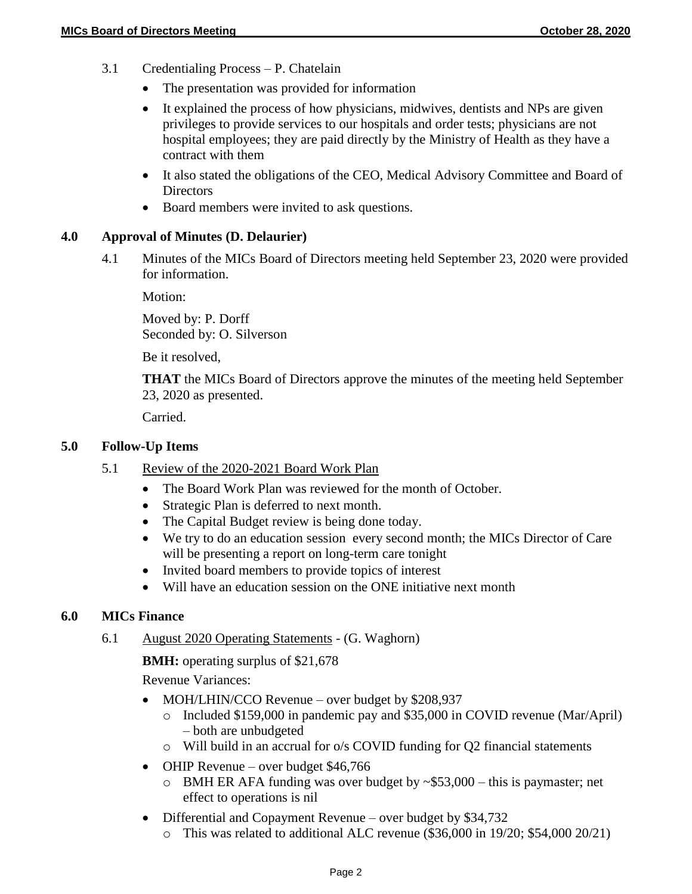- 3.1 Credentialing Process P. Chatelain
	- The presentation was provided for information
	- It explained the process of how physicians, midwives, dentists and NPs are given privileges to provide services to our hospitals and order tests; physicians are not hospital employees; they are paid directly by the Ministry of Health as they have a contract with them
	- It also stated the obligations of the CEO, Medical Advisory Committee and Board of **Directors**
	- Board members were invited to ask questions.

## **4.0 Approval of Minutes (D. Delaurier)**

4.1 Minutes of the MICs Board of Directors meeting held September 23, 2020 were provided for information.

Motion:

Moved by: P. Dorff Seconded by: O. Silverson

Be it resolved,

**THAT** the MICs Board of Directors approve the minutes of the meeting held September 23, 2020 as presented.

Carried.

## **5.0 Follow-Up Items**

- 5.1 Review of the 2020-2021 Board Work Plan
	- The Board Work Plan was reviewed for the month of October.
	- Strategic Plan is deferred to next month.
	- The Capital Budget review is being done today.
	- We try to do an education session every second month; the MICs Director of Care will be presenting a report on long-term care tonight
	- Invited board members to provide topics of interest
	- Will have an education session on the ONE initiative next month

## **6.0 MICs Finance**

6.1 August 2020 Operating Statements - (G. Waghorn)

**BMH:** operating surplus of \$21,678

Revenue Variances:

- MOH/LHIN/CCO Revenue over budget by \$208,937
	- o Included \$159,000 in pandemic pay and \$35,000 in COVID revenue (Mar/April) – both are unbudgeted
	- o Will build in an accrual for o/s COVID funding for Q2 financial statements
- OHIP Revenue over budget  $$46,766$ 
	- $\circ$  BMH ER AFA funding was over budget by  $\sim$ \$53,000 this is paymaster; net effect to operations is nil
- Differential and Copayment Revenue over budget by \$34,732
	- o This was related to additional ALC revenue (\$36,000 in 19/20; \$54,000 20/21)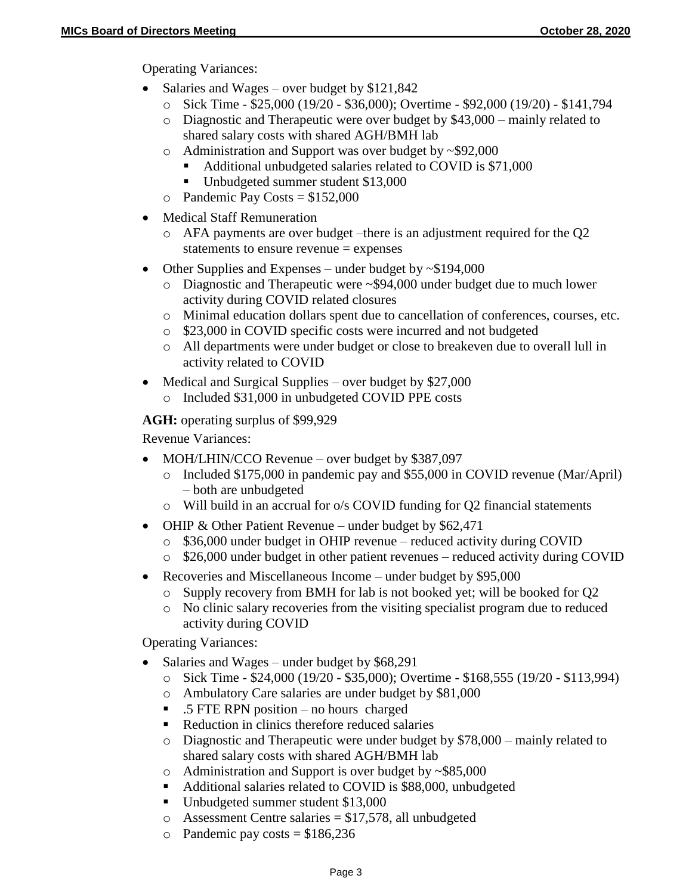Operating Variances:

- Salaries and Wages over budget by  $$121,842$ 
	- o Sick Time \$25,000 (19/20 \$36,000); Overtime \$92,000 (19/20) \$141,794
	- $\circ$  Diagnostic and Therapeutic were over budget by \$43,000 mainly related to shared salary costs with shared AGH/BMH lab
	- o Administration and Support was over budget by ~\$92,000
		- Additional unbudgeted salaries related to COVID is \$71,000
		- Unbudgeted summer student \$13,000
	- $\circ$  Pandemic Pay Costs = \$152,000
- Medical Staff Remuneration
	- o AFA payments are over budget –there is an adjustment required for the Q2 statements to ensure revenue = expenses
- Other Supplies and Expenses under budget by  $\sim$ \$194,000
	- o Diagnostic and Therapeutic were ~\$94,000 under budget due to much lower activity during COVID related closures
	- o Minimal education dollars spent due to cancellation of conferences, courses, etc.
	- o \$23,000 in COVID specific costs were incurred and not budgeted
	- o All departments were under budget or close to breakeven due to overall lull in activity related to COVID
- Medical and Surgical Supplies over budget by \$27,000 o Included \$31,000 in unbudgeted COVID PPE costs

**AGH:** operating surplus of \$99,929

Revenue Variances:

- MOH/LHIN/CCO Revenue over budget by \$387,097
	- o Included \$175,000 in pandemic pay and \$55,000 in COVID revenue (Mar/April) – both are unbudgeted
	- $\circ$  Will build in an accrual for  $\circ$ /s COVID funding for O2 financial statements
- OHIP & Other Patient Revenue under budget by \$62,471
	- o \$36,000 under budget in OHIP revenue reduced activity during COVID
	- o \$26,000 under budget in other patient revenues reduced activity during COVID
- Recoveries and Miscellaneous Income under budget by \$95,000
	- o Supply recovery from BMH for lab is not booked yet; will be booked for Q2
	- o No clinic salary recoveries from the visiting specialist program due to reduced activity during COVID

Operating Variances:

- Salaries and Wages under budget by \$68,291
	- o Sick Time \$24,000 (19/20 \$35,000); Overtime \$168,555 (19/20 \$113,994)
	- o Ambulatory Care salaries are under budget by \$81,000
	- .5 FTE RPN position no hours charged
	- Reduction in clinics therefore reduced salaries
	- o Diagnostic and Therapeutic were under budget by \$78,000 mainly related to shared salary costs with shared AGH/BMH lab
	- o Administration and Support is over budget by ~\$85,000
	- Additional salaries related to COVID is \$88,000, unbudgeted
	- Unbudgeted summer student \$13,000
	- $\circ$  Assessment Centre salaries = \$17,578, all unbudgeted
	- o Pandemic pay costs  $= $186,236$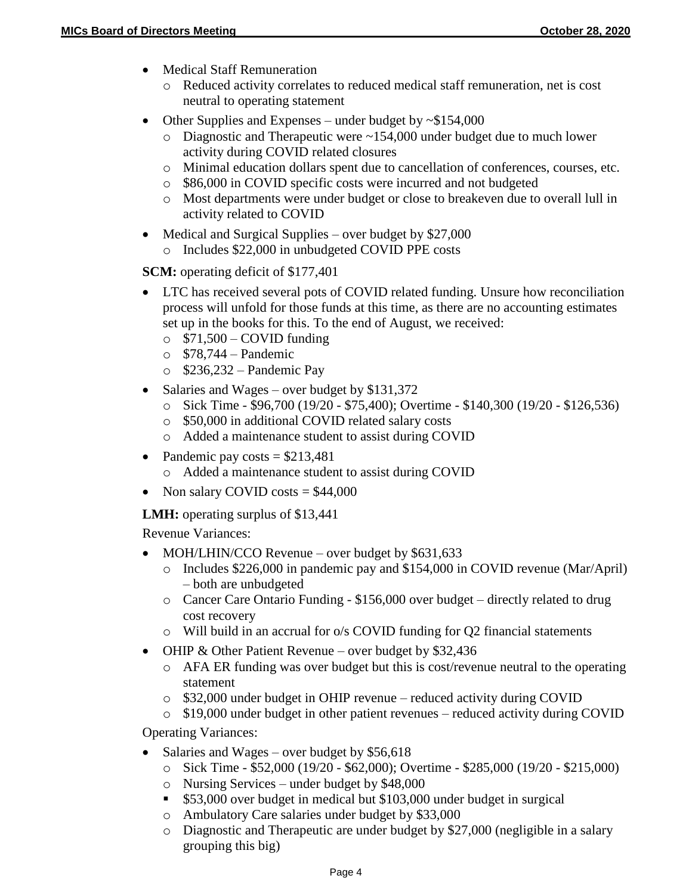- Medical Staff Remuneration
	- o Reduced activity correlates to reduced medical staff remuneration, net is cost neutral to operating statement
- Other Supplies and Expenses under budget by  $\sim$ \$154,000
	- o Diagnostic and Therapeutic were ~154,000 under budget due to much lower activity during COVID related closures
	- o Minimal education dollars spent due to cancellation of conferences, courses, etc.
	- o \$86,000 in COVID specific costs were incurred and not budgeted
	- o Most departments were under budget or close to breakeven due to overall lull in activity related to COVID
- $\bullet$  Medical and Surgical Supplies over budget by \$27,000
	- o Includes \$22,000 in unbudgeted COVID PPE costs

**SCM:** operating deficit of \$177,401

- LTC has received several pots of COVID related funding. Unsure how reconciliation process will unfold for those funds at this time, as there are no accounting estimates set up in the books for this. To the end of August, we received:
	- $\circ$  \$71,500 COVID funding
	- $\circ$  \$78,744 Pandemic
	- $\circ$  \$236,232 Pandemic Pay
- Salaries and Wages over budget by \$131,372
	- o Sick Time \$96,700 (19/20 \$75,400); Overtime \$140,300 (19/20 \$126,536)
	- o \$50,000 in additional COVID related salary costs
	- o Added a maintenance student to assist during COVID
- Pandemic pay costs  $= $213,481$ 
	- o Added a maintenance student to assist during COVID
- Non salary COVID costs  $= $44,000$

**LMH:** operating surplus of \$13,441

Revenue Variances:

- MOH/LHIN/CCO Revenue over budget by  $$631,633$ 
	- o Includes \$226,000 in pandemic pay and \$154,000 in COVID revenue (Mar/April) – both are unbudgeted
	- o Cancer Care Ontario Funding \$156,000 over budget directly related to drug cost recovery
	- $\circ$  Will build in an accrual for  $\circ$ /s COVID funding for Q2 financial statements
- OHIP & Other Patient Revenue over budget by \$32,436
	- o AFA ER funding was over budget but this is cost/revenue neutral to the operating statement
	- o \$32,000 under budget in OHIP revenue reduced activity during COVID
	- o \$19,000 under budget in other patient revenues reduced activity during COVID

Operating Variances:

- Salaries and Wages over budget by  $$56,618$ 
	- o Sick Time \$52,000 (19/20 \$62,000); Overtime \$285,000 (19/20 \$215,000)
	- o Nursing Services under budget by \$48,000
	- **\$53,000** over budget in medical but \$103,000 under budget in surgical
	- o Ambulatory Care salaries under budget by \$33,000
	- o Diagnostic and Therapeutic are under budget by \$27,000 (negligible in a salary grouping this big)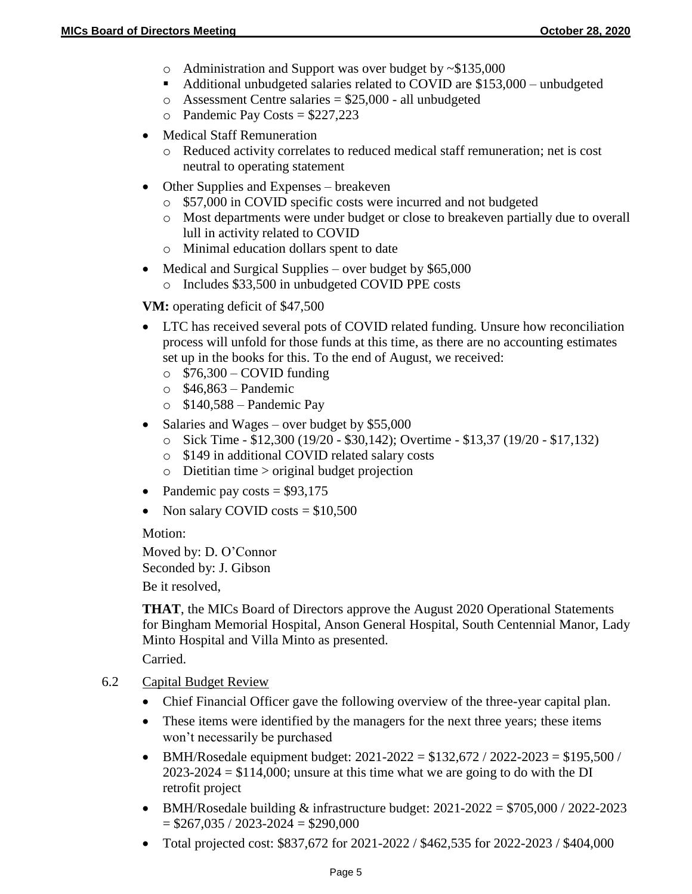- o Administration and Support was over budget by ~\$135,000
- Additional unbudgeted salaries related to COVID are \$153,000 unbudgeted
- $\circ$  Assessment Centre salaries = \$25,000 all unbudgeted
- $\circ$  Pandemic Pay Costs = \$227,223
- Medical Staff Remuneration
	- o Reduced activity correlates to reduced medical staff remuneration; net is cost neutral to operating statement
- Other Supplies and Expenses breakeven
	- o \$57,000 in COVID specific costs were incurred and not budgeted
	- o Most departments were under budget or close to breakeven partially due to overall lull in activity related to COVID
	- o Minimal education dollars spent to date
- Medical and Surgical Supplies over budget by  $$65,000$ 
	- o Includes \$33,500 in unbudgeted COVID PPE costs

**VM:** operating deficit of \$47,500

- LTC has received several pots of COVID related funding. Unsure how reconciliation process will unfold for those funds at this time, as there are no accounting estimates set up in the books for this. To the end of August, we received:
	- $\circ$  \$76,300 COVID funding
	- $\circ$  \$46,863 Pandemic
	- $\circ$  \$140,588 Pandemic Pay
- Salaries and Wages over budget by  $$55,000$ 
	- o Sick Time \$12,300 (19/20 \$30,142); Overtime \$13,37 (19/20 \$17,132)
	- o \$149 in additional COVID related salary costs
	- o Dietitian time > original budget projection
- Pandemic pay costs  $= $93,175$
- Non salary COVID costs  $= $10,500$

Motion:

Moved by: D. O'Connor Seconded by: J. Gibson

Be it resolved,

**THAT**, the MICs Board of Directors approve the August 2020 Operational Statements for Bingham Memorial Hospital, Anson General Hospital, South Centennial Manor, Lady Minto Hospital and Villa Minto as presented.

Carried.

# 6.2 Capital Budget Review

- Chief Financial Officer gave the following overview of the three-year capital plan.
- These items were identified by the managers for the next three years; these items won't necessarily be purchased
- BMH/Rosedale equipment budget:  $2021 2022 = $132,672 / 2022 2023 = $195,500 / 2022$  $2023-2024 = $114,000$ ; unsure at this time what we are going to do with the DI retrofit project
- BMH/Rosedale building  $&$  infrastructure budget:  $2021-2022 = $705,000 / 2022-2023$  $= $267,035 / 2023 - 2024 = $290,000$
- Total projected cost: \$837,672 for 2021-2022 / \$462,535 for 2022-2023 / \$404,000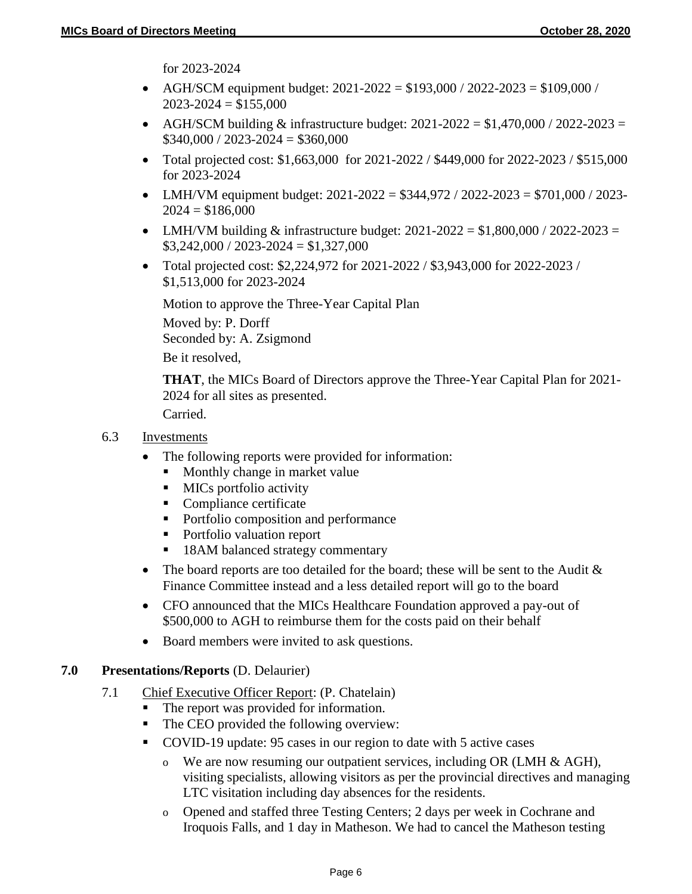for 2023-2024

- AGH/SCM equipment budget:  $2021-2022 = $193,000 / 2022-2023 = $109,000 / 2022$  $2023 - 2024 = $155,000$
- AGH/SCM building  $&$  infrastructure budget: 2021-2022 = \$1,470,000 / 2022-2023 =  $$340,000 / 2023 - 2024 = $360,000$
- Total projected cost: \$1,663,000 for 2021-2022 / \$449,000 for 2022-2023 / \$515,000 for 2023-2024
- LMH/VM equipment budget:  $2021-2022 = $344,972 / 2022-2023 = $701,000 / 2023 2024 = $186,000$
- LMH/VM building & infrastructure budget:  $2021 2022 = $1,800,000 / 2022 2023 =$  $$3,242,000 / 2023 - 2024 = $1,327,000$
- Total projected cost: \$2,224,972 for 2021-2022 / \$3,943,000 for 2022-2023 / \$1,513,000 for 2023-2024

Motion to approve the Three-Year Capital Plan

Moved by: P. Dorff Seconded by: A. Zsigmond Be it resolved,

**THAT**, the MICs Board of Directors approve the Three-Year Capital Plan for 2021- 2024 for all sites as presented.

Carried.

## 6.3 Investments

- The following reports were provided for information:
	- Monthly change in market value
	- **MICs** portfolio activity
	- Compliance certificate
	- Portfolio composition and performance
	- Portfolio valuation report
	- 18AM balanced strategy commentary
- The board reports are too detailed for the board; these will be sent to the Audit  $\&$ Finance Committee instead and a less detailed report will go to the board
- CFO announced that the MICs Healthcare Foundation approved a pay-out of \$500,000 to AGH to reimburse them for the costs paid on their behalf
- Board members were invited to ask questions.

# **7.0 Presentations/Reports** (D. Delaurier)

- 7.1 Chief Executive Officer Report: (P. Chatelain)
	- The report was provided for information.
	- The CEO provided the following overview:
	- COVID-19 update: 95 cases in our region to date with 5 active cases
		- o We are now resuming our outpatient services, including OR (LMH  $\&$  AGH), visiting specialists, allowing visitors as per the provincial directives and managing LTC visitation including day absences for the residents.
		- o Opened and staffed three Testing Centers; 2 days per week in Cochrane and Iroquois Falls, and 1 day in Matheson. We had to cancel the Matheson testing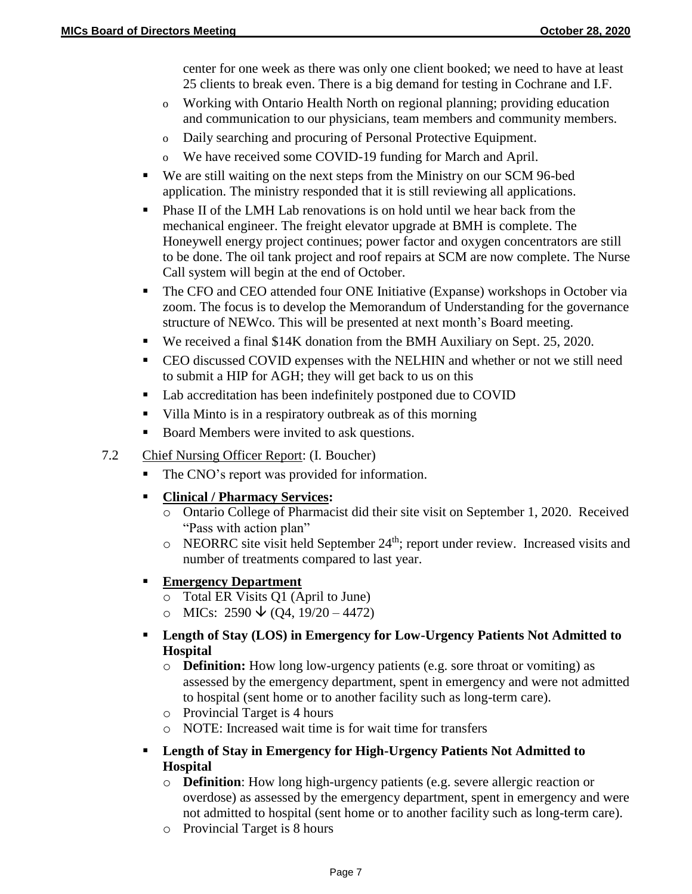center for one week as there was only one client booked; we need to have at least 25 clients to break even. There is a big demand for testing in Cochrane and I.F.

- o Working with Ontario Health North on regional planning; providing education and communication to our physicians, team members and community members.
- o Daily searching and procuring of Personal Protective Equipment.
- o We have received some COVID-19 funding for March and April.
- We are still waiting on the next steps from the Ministry on our SCM 96-bed application. The ministry responded that it is still reviewing all applications.
- **Phase II** of the LMH Lab renovations is on hold until we hear back from the mechanical engineer. The freight elevator upgrade at BMH is complete. The Honeywell energy project continues; power factor and oxygen concentrators are still to be done. The oil tank project and roof repairs at SCM are now complete. The Nurse Call system will begin at the end of October.
- The CFO and CEO attended four ONE Initiative (Expanse) workshops in October via zoom. The focus is to develop the Memorandum of Understanding for the governance structure of NEWco. This will be presented at next month's Board meeting.
- We received a final \$14K donation from the BMH Auxiliary on Sept. 25, 2020.
- CEO discussed COVID expenses with the NELHIN and whether or not we still need to submit a HIP for AGH; they will get back to us on this
- Lab accreditation has been indefinitely postponed due to COVID
- Villa Minto is in a respiratory outbreak as of this morning
- Board Members were invited to ask questions.

# 7.2 Chief Nursing Officer Report: (I. Boucher)

• The CNO's report was provided for information.

# **Clinical / Pharmacy Services:**

- o Ontario College of Pharmacist did their site visit on September 1, 2020. Received "Pass with action plan"
- $\circ$  NEORRC site visit held September 24<sup>th</sup>; report under review. Increased visits and number of treatments compared to last year.

# **Emergency Department**

- o Total ER Visits Q1 (April to June)
- o MICs:  $2590 \text{ } \sqrt{(Q4, 19/20 4472)}$
- **Length of Stay (LOS) in Emergency for Low-Urgency Patients Not Admitted to Hospital**
	- o **Definition:** How long low-urgency patients (e.g. sore throat or vomiting) as assessed by the emergency department, spent in emergency and were not admitted to hospital (sent home or to another facility such as long-term care).
	- o Provincial Target is 4 hours
	- o NOTE: Increased wait time is for wait time for transfers
- **Length of Stay in Emergency for High-Urgency Patients Not Admitted to Hospital**
	- o **Definition**: How long high-urgency patients (e.g. severe allergic reaction or overdose) as assessed by the emergency department, spent in emergency and were not admitted to hospital (sent home or to another facility such as long-term care).
	- o Provincial Target is 8 hours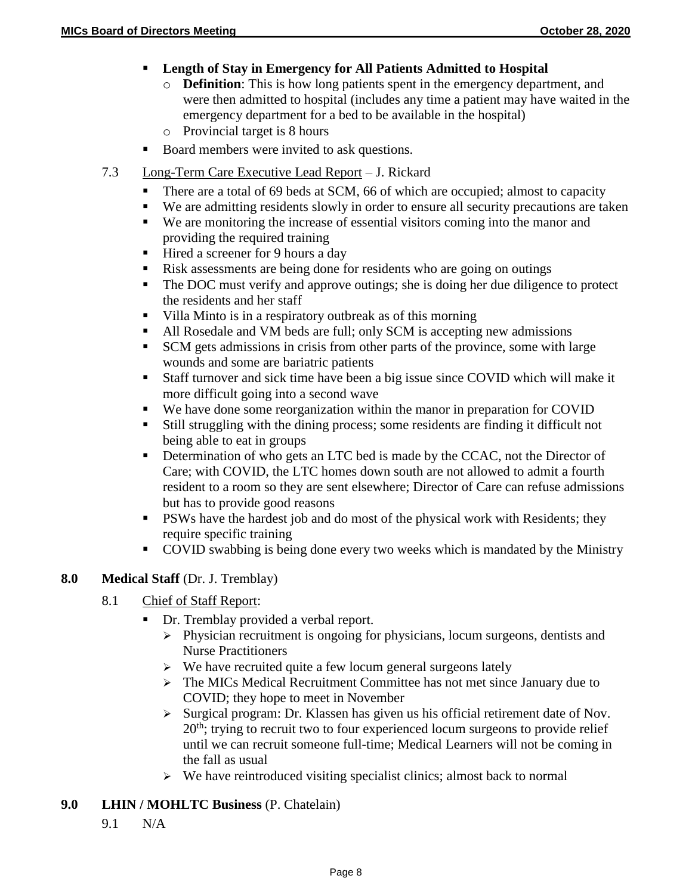- **Length of Stay in Emergency for All Patients Admitted to Hospital**
	- o **Definition**: This is how long patients spent in the emergency department, and were then admitted to hospital (includes any time a patient may have waited in the emergency department for a bed to be available in the hospital)
	- o Provincial target is 8 hours
- Board members were invited to ask questions.
- 7.3 Long-Term Care Executive Lead Report J. Rickard
	- There are a total of 69 beds at SCM, 66 of which are occupied; almost to capacity
	- We are admitting residents slowly in order to ensure all security precautions are taken
	- We are monitoring the increase of essential visitors coming into the manor and providing the required training
	- Hired a screener for 9 hours a day
	- Risk assessments are being done for residents who are going on outings
	- The DOC must verify and approve outings; she is doing her due diligence to protect the residents and her staff
	- Villa Minto is in a respiratory outbreak as of this morning
	- All Rosedale and VM beds are full; only SCM is accepting new admissions
	- SCM gets admissions in crisis from other parts of the province, some with large wounds and some are bariatric patients
	- Staff turnover and sick time have been a big issue since COVID which will make it more difficult going into a second wave
	- We have done some reorganization within the manor in preparation for COVID
	- Still struggling with the dining process; some residents are finding it difficult not being able to eat in groups
	- Determination of who gets an LTC bed is made by the CCAC, not the Director of Care; with COVID, the LTC homes down south are not allowed to admit a fourth resident to a room so they are sent elsewhere; Director of Care can refuse admissions but has to provide good reasons
	- **PSWs** have the hardest job and do most of the physical work with Residents; they require specific training
	- COVID swabbing is being done every two weeks which is mandated by the Ministry

#### **8.0 Medical Staff** (Dr. J. Tremblay)

- 8.1 Chief of Staff Report:
	- Dr. Tremblay provided a verbal report.
		- $\triangleright$  Physician recruitment is ongoing for physicians, locum surgeons, dentists and Nurse Practitioners
		- $\triangleright$  We have recruited quite a few locum general surgeons lately
		- The MICs Medical Recruitment Committee has not met since January due to COVID; they hope to meet in November
		- $\triangleright$  Surgical program: Dr. Klassen has given us his official retirement date of Nov.  $20<sup>th</sup>$ ; trying to recruit two to four experienced locum surgeons to provide relief until we can recruit someone full-time; Medical Learners will not be coming in the fall as usual
		- $\triangleright$  We have reintroduced visiting specialist clinics; almost back to normal

#### **9.0 LHIN / MOHLTC Business** (P. Chatelain)

9.1 N/A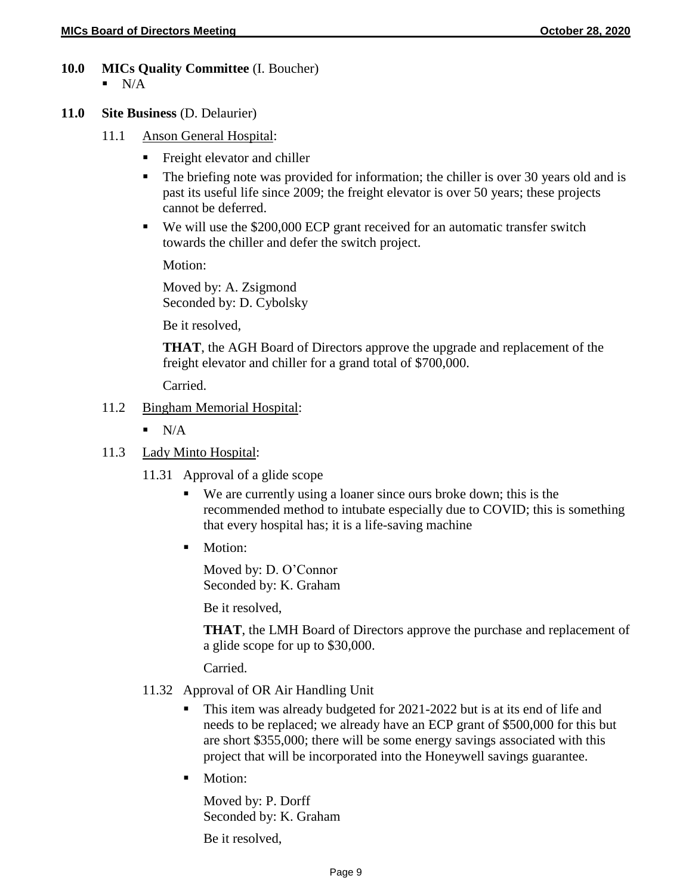- **10.0 MICs Quality Committee** (I. Boucher)  $\blacksquare$  N/A
- **11.0 Site Business** (D. Delaurier)
	- 11.1 Anson General Hospital:
		- **Fight elevator and chiller**
		- The briefing note was provided for information; the chiller is over 30 years old and is past its useful life since 2009; the freight elevator is over 50 years; these projects cannot be deferred.
		- We will use the \$200,000 ECP grant received for an automatic transfer switch towards the chiller and defer the switch project.

Motion:

Moved by: A. Zsigmond Seconded by: D. Cybolsky

Be it resolved,

**THAT**, the AGH Board of Directors approve the upgrade and replacement of the freight elevator and chiller for a grand total of \$700,000.

Carried.

#### 11.2 Bingham Memorial Hospital:

- $\blacksquare$  N/A
- 11.3 Lady Minto Hospital:
	- 11.31 Approval of a glide scope
		- We are currently using a loaner since ours broke down; this is the recommended method to intubate especially due to COVID; this is something that every hospital has; it is a life-saving machine
		- Motion:

Moved by: D. O'Connor Seconded by: K. Graham

Be it resolved,

**THAT**, the LMH Board of Directors approve the purchase and replacement of a glide scope for up to \$30,000.

Carried.

- 11.32 Approval of OR Air Handling Unit
	- This item was already budgeted for 2021-2022 but is at its end of life and needs to be replaced; we already have an ECP grant of \$500,000 for this but are short \$355,000; there will be some energy savings associated with this project that will be incorporated into the Honeywell savings guarantee.
	- Motion:

Moved by: P. Dorff Seconded by: K. Graham

Be it resolved,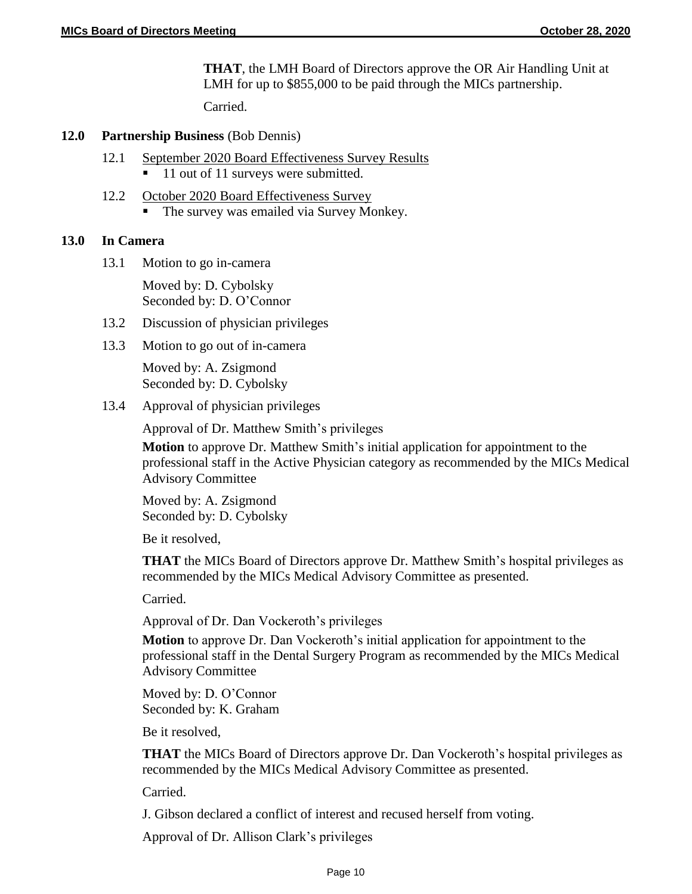**THAT**, the LMH Board of Directors approve the OR Air Handling Unit at LMH for up to \$855,000 to be paid through the MICs partnership.

Carried.

#### **12.0 Partnership Business** (Bob Dennis)

- 12.1 September 2020 Board Effectiveness Survey Results
	- 11 out of 11 surveys were submitted.
- 12.2 October 2020 Board Effectiveness Survey
	- The survey was emailed via Survey Monkey.

#### **13.0 In Camera**

13.1 Motion to go in-camera

Moved by: D. Cybolsky Seconded by: D. O'Connor

- 13.2 Discussion of physician privileges
- 13.3 Motion to go out of in-camera

Moved by: A. Zsigmond Seconded by: D. Cybolsky

13.4 Approval of physician privileges

Approval of Dr. Matthew Smith's privileges

**Motion** to approve Dr. Matthew Smith's initial application for appointment to the professional staff in the Active Physician category as recommended by the MICs Medical Advisory Committee

Moved by: A. Zsigmond Seconded by: D. Cybolsky

Be it resolved,

**THAT** the MICs Board of Directors approve Dr. Matthew Smith's hospital privileges as recommended by the MICs Medical Advisory Committee as presented.

Carried.

Approval of Dr. Dan Vockeroth's privileges

**Motion** to approve Dr. Dan Vockeroth's initial application for appointment to the professional staff in the Dental Surgery Program as recommended by the MICs Medical Advisory Committee

Moved by: D. O'Connor Seconded by: K. Graham

Be it resolved,

**THAT** the MICs Board of Directors approve Dr. Dan Vockeroth's hospital privileges as recommended by the MICs Medical Advisory Committee as presented.

Carried.

J. Gibson declared a conflict of interest and recused herself from voting.

Approval of Dr. Allison Clark's privileges